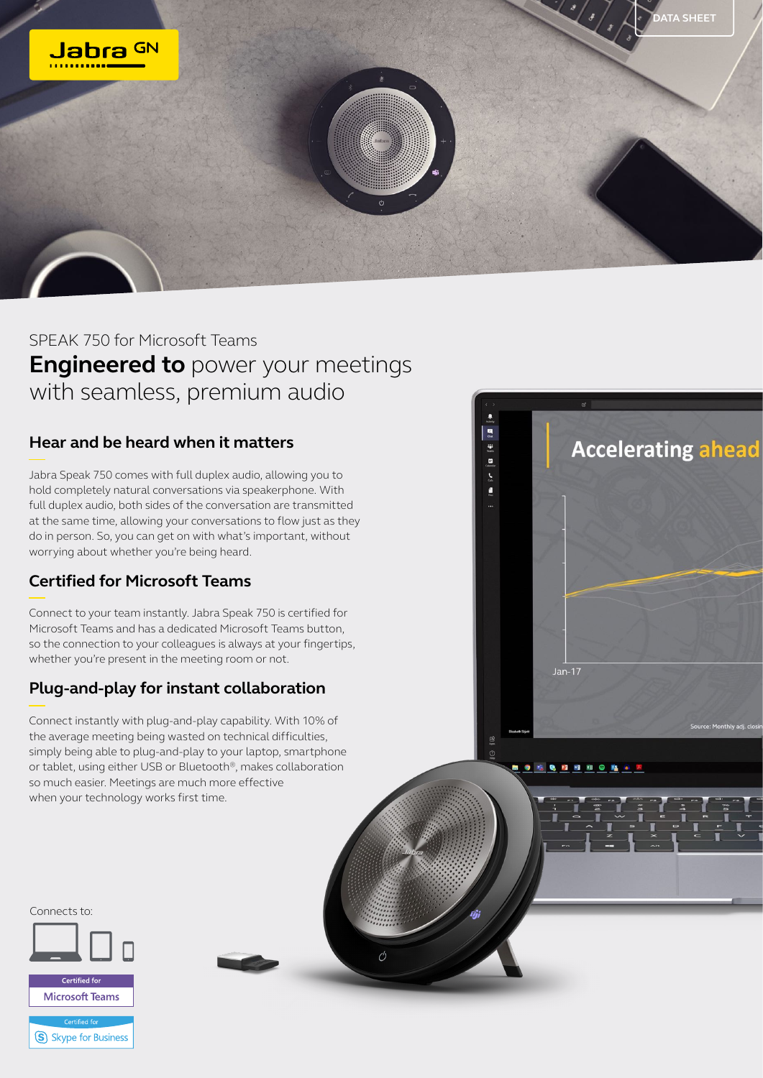

Ó

**Jan-17** 

**● 吃 & PI Will © D& e J** 

**Accelerating ahead** 

## SPEAK 750 for Microsoft Teams **Engineered to** power your meetings with seamless, premium audio

## **Hear and be heard when it matters**

Jabra Speak 750 comes with full duplex audio, allowing you to hold completely natural conversations via speakerphone. With full duplex audio, both sides of the conversation are transmitted at the same time, allowing your conversations to flow just as they do in person. So, you can get on with what's important, without worrying about whether you're being heard.

## **Certified for Microsoft Teams**

Connect to your team instantly. Jabra Speak 750 is certified for Microsoft Teams and has a dedicated Microsoft Teams button, so the connection to your colleagues is always at your fingertips, whether you're present in the meeting room or not.

## **Plug-and-play for instant collaboration**

Connect instantly with plug-and-play capability. With 10% of the average meeting being wasted on technical difficulties, simply being able to plug-and-play to your laptop, smartphone or tablet, using either USB or Bluetooth®, makes collaboration so much easier. Meetings are much more effective when your technology works first time.

Certified for

Connects to:

**Microsoft Teams Skype for Business**